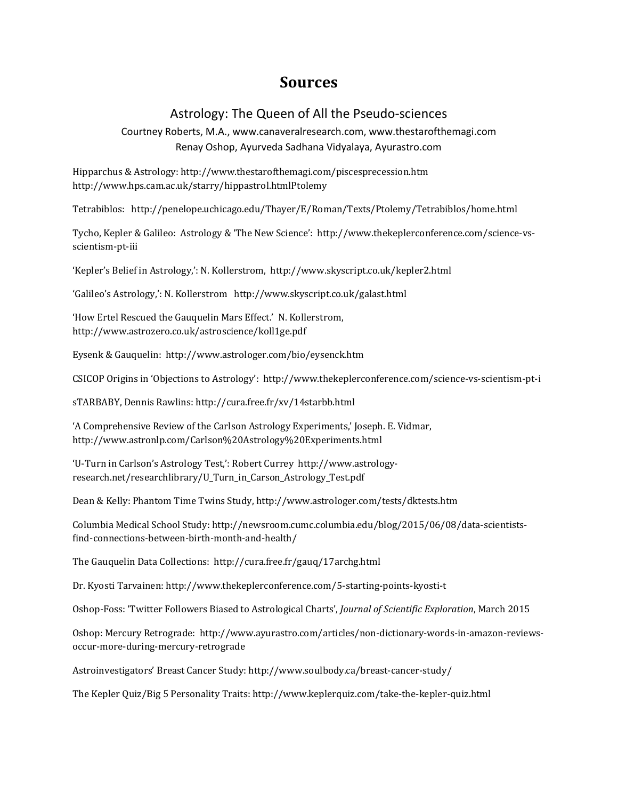## **Sources**

## Astrology: The Queen of All the Pseudo-sciences

Courtney Roberts, M.A., www.canaveralresearch.com, www.thestarofthemagi.com Renay Oshop, Ayurveda Sadhana Vidyalaya, Ayurastro.com

Hipparchus & Astrology: http://www.thestarofthemagi.com/piscesprecession.htm http://www.hps.cam.ac.uk/starry/hippastrol.htmlPtolemy

Tetrabiblos: http://penelope.uchicago.edu/Thayer/E/Roman/Texts/Ptolemy/Tetrabiblos/home.html

Tycho, Kepler & Galileo: Astrology & 'The New Science': http://www.thekeplerconference.com/science-vsscientism-pt-iii

'Kepler's Belief in Astrology,': N. Kollerstrom, http://www.skyscript.co.uk/kepler2.html

'Galileo's Astrology,': N. Kollerstrom http://www.skyscript.co.uk/galast.html

'How Ertel Rescued the Gauquelin Mars Effect.' N. Kollerstrom, http://www.astrozero.co.uk/astroscience/koll1ge.pdf

Eysenk & Gauquelin: http://www.astrologer.com/bio/eysenck.htm

CSICOP Origins in 'Objections to Astrology': http://www.thekeplerconference.com/science-vs-scientism-pt-i

sTARBABY, Dennis Rawlins: http://cura.free.fr/xv/14starbb.html

'A Comprehensive Review of the Carlson Astrology Experiments,' Joseph. E. Vidmar, http://www.astronlp.com/Carlson%20Astrology%20Experiments.html

'U-Turn in Carlson's Astrology Test,': Robert Currey http://www.astrologyresearch.net/researchlibrary/U\_Turn\_in\_Carson\_Astrology\_Test.pdf

Dean & Kelly: Phantom Time Twins Study, http://www.astrologer.com/tests/dktests.htm

Columbia Medical School Study: http://newsroom.cumc.columbia.edu/blog/2015/06/08/data-scientistsfind-connections-between-birth-month-and-health/

The Gauquelin Data Collections: http://cura.free.fr/gauq/17archg.html

Dr. Kyosti Tarvainen: http://www.thekeplerconference.com/5-starting-points-kyosti-t

Oshop-Foss: 'Twitter Followers Biased to Astrological Charts', *Journal of Scientific Exploration*, March 2015

Oshop: Mercury Retrograde: http://www.ayurastro.com/articles/non-dictionary-words-in-amazon-reviewsoccur-more-during-mercury-retrograde

Astroinvestigators' Breast Cancer Study: http://www.soulbody.ca/breast-cancer-study/

The Kepler Quiz/Big 5 Personality Traits: http://www.keplerquiz.com/take-the-kepler-quiz.html